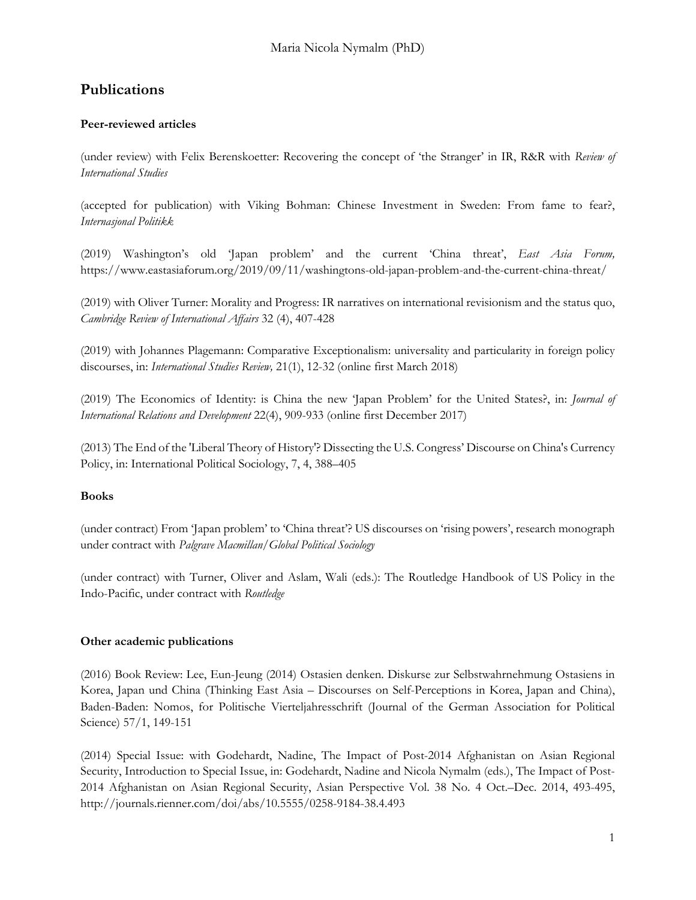# **Publications**

## **Peer-reviewed articles**

(under review) with Felix Berenskoetter: Recovering the concept of 'the Stranger' in IR, R&R with *Review of International Studies*

(accepted for publication) with Viking Bohman: Chinese Investment in Sweden: From fame to fear?, *Internasjonal Politikk*

(2019) Washington's old 'Japan problem' and the current 'China threat', *East Asia Forum,*  https://www.eastasiaforum.org/2019/09/11/washingtons-old-japan-problem-and-the-current-china-threat/

(2019) with Oliver Turner: Morality and Progress: IR narratives on international revisionism and the status quo, *Cambridge Review of International Affairs* 32 (4), 407-428

(2019) with Johannes Plagemann: Comparative Exceptionalism: universality and particularity in foreign policy discourses, in: *International Studies Review,* 21(1), 12-32 (online first March 2018)

(2019) The Economics of Identity: is China the new 'Japan Problem' for the United States?, in: *Journal of International Relations and Development* 22(4), 909-933 (online first December 2017)

(2013) The End of the 'Liberal Theory of History'? Dissecting the U.S. Congress' Discourse on China's Currency Policy, in: International Political Sociology, 7, 4, 388–405

#### **Books**

(under contract) From 'Japan problem' to 'China threat'? US discourses on 'rising powers', research monograph under contract with *Palgrave Macmillan/Global Political Sociology*

(under contract) with Turner, Oliver and Aslam, Wali (eds.): The Routledge Handbook of US Policy in the Indo-Pacific, under contract with *Routledge*

#### **Other academic publications**

(2016) Book Review: Lee, Eun-Jeung (2014) Ostasien denken. Diskurse zur Selbstwahrnehmung Ostasiens in Korea, Japan und China (Thinking East Asia – Discourses on Self-Perceptions in Korea, Japan and China), Baden-Baden: Nomos, for Politische Vierteljahresschrift (Journal of the German Association for Political Science) 57/1, 149-151

(2014) Special Issue: with Godehardt, Nadine, The Impact of Post-2014 Afghanistan on Asian Regional Security, Introduction to Special Issue, in: Godehardt, Nadine and Nicola Nymalm (eds.), The Impact of Post-2014 Afghanistan on Asian Regional Security, Asian Perspective Vol. 38 No. 4 Oct.–Dec. 2014, 493-495, http://journals.rienner.com/doi/abs/10.5555/0258-9184-38.4.493